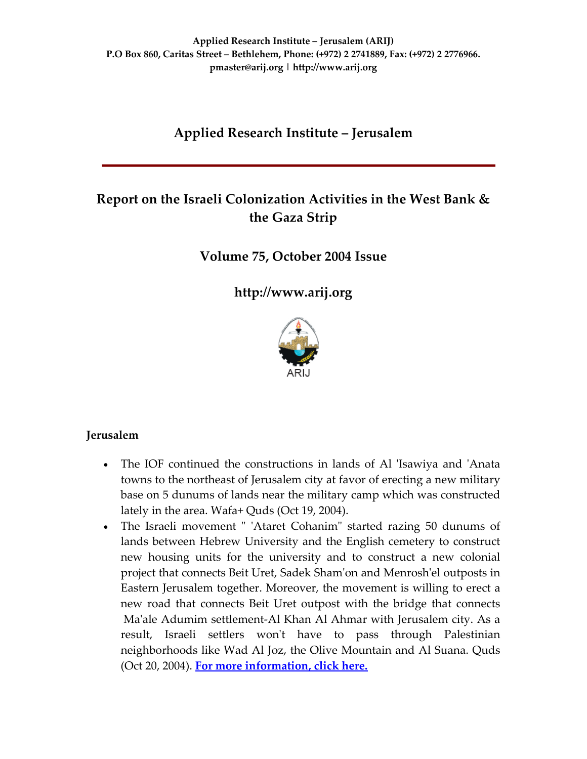# **Applied Research Institute – Jerusalem**

# **Report on the Israeli Colonization Activities in the West Bank & the Gaza Strip**

**Volume 75, October 2004 Issue**

**[http://www.arij.org](http://www.arij.org/)**



### **Jerusalem**

- The IOF continued the constructions in lands of Al 'Isawiya and 'Anata towns to the northeast of Jerusalem city at favor of erecting a new military base on 5 dunums of lands near the military camp which was constructed lately in the area. Wafa+ Quds (Oct 19, 2004).
- The Israeli movement " 'Ataret Cohanim" started razing 50 dunums of lands between Hebrew University and the English cemetery to construct new housing units for the university and to construct a new colonial project that connects Beit Uret, Sadek Shamʹon and Menroshʹel outposts in Eastern Jerusalem together. Moreover, the movement is willing to erect a new road that connects Beit Uret outpost with the bridge that connects Maʹale Adumim settlement‐Al Khan Al Ahmar with Jerusalem city. As a result, Israeli settlers won't have to pass through Palestinian neighborhoods like Wad Al Joz, the Olive Mountain and Al Suana. Quds (Oct 20, 2004). **For more [information,](http://www.poica.org/editor/case_studies/view.php?recordID=459) click here.**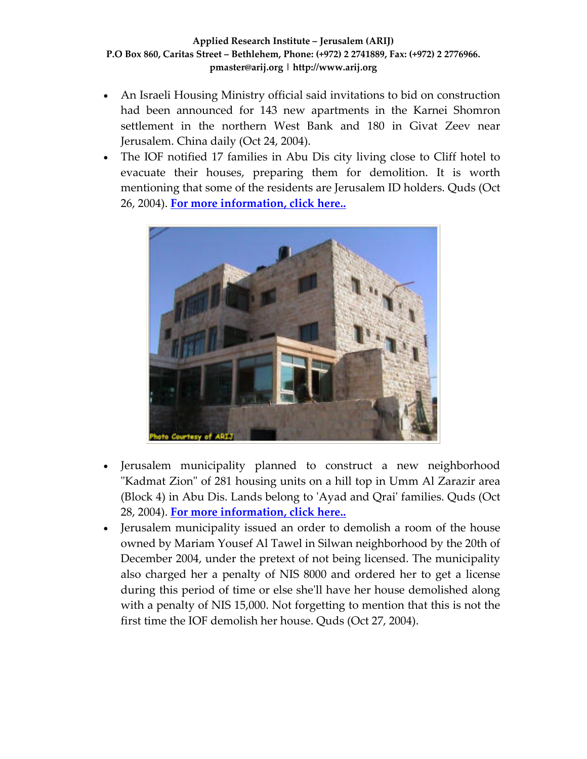- An Israeli Housing Ministry official said invitations to bid on construction had been announced for 143 new apartments in the Karnei Shomron settlement in the northern West Bank and 180 in Givat Zeev near Jerusalem. China daily (Oct 24, 2004).
- The IOF notified 17 families in Abu Dis city living close to Cliff hotel to evacuate their houses, preparing them for demolition. It is worth mentioning that some of the residents are Jerusalem ID holders. Quds (Oct 26, 2004). **For more [information,](http://www.poica.org/editor/case_studies/view.php?recordID=393) click here..**



- Jerusalem municipality planned to construct a new neighborhood "Kadmat Zion" of 281 housing units on a hill top in Umm Al Zarazir area (Block 4) in Abu Dis. Lands belong to ʹAyad and Qraiʹ families. Quds (Oct 28, 2004). **For more [information,](http://www.poica.org/editor/case_studies/view.php?recordID=393) click here..**
- Jerusalem municipality issued an order to demolish a room of the house owned by Mariam Yousef Al Tawel in Silwan neighborhood by the 20th of December 2004, under the pretext of not being licensed. The municipality also charged her a penalty of NIS 8000 and ordered her to get a license during this period of time or else she'll have her house demolished along with a penalty of NIS 15,000. Not forgetting to mention that this is not the first time the IOF demolish her house. Quds (Oct 27, 2004).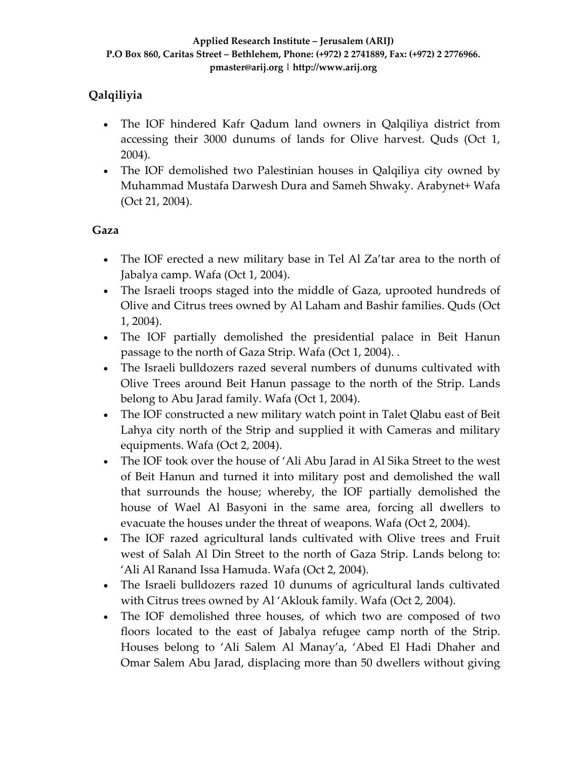# **Qalqiliyia**

- The IOF hindered Kafr Qadum land owners in Qalqiliya district from accessing their 3000 dunums of lands for Olive harvest. Quds (Oct 1, 2004).
- The IOF demolished two Palestinian houses in Qalqiliya city owned by Muhammad Mustafa Darwesh Dura and Sameh Shwaky. Arabynet+ Wafa (Oct 21, 2004).

### **Gaza**

- The IOF erected a new military base in Tel Al Za'tar area to the north of Jabalya camp. Wafa (Oct 1, 2004).
- The Israeli troops staged into the middle of Gaza, uprooted hundreds of Olive and Citrus trees owned by Al Laham and Bashir families. Quds (Oct 1, 2004).
- The IOF partially demolished the presidential palace in Beit Hanun passage to the north of Gaza Strip. Wafa (Oct 1, 2004). .
- The Israeli bulldozers razed several numbers of dunums cultivated with Olive Trees around Beit Hanun passage to the north of the Strip. Lands belong to Abu Jarad family. Wafa (Oct 1, 2004).
- The IOF constructed a new military watch point in Talet Qlabu east of Beit Lahya city north of the Strip and supplied it with Cameras and military equipments. Wafa (Oct 2, 2004).
- The IOF took over the house of 'Ali Abu Jarad in Al Sika Street to the west of Beit Hanun and turned it into military post and demolished the wall that surrounds the house; whereby, the IOF partially demolished the house of Wael Al Basyoni in the same area, forcing all dwellers to evacuate the houses under the threat of weapons. Wafa (Oct 2, 2004).
- The IOF razed agricultural lands cultivated with Olive trees and Fruit west of Salah Al Din Street to the north of Gaza Strip. Lands belong to: 'Ali Al Ranand Issa Hamuda. Wafa (Oct 2, 2004).
- The Israeli bulldozers razed 10 dunums of agricultural lands cultivated with Citrus trees owned by Al 'Aklouk family. Wafa (Oct 2, 2004).
- The IOF demolished three houses, of which two are composed of two floors located to the east of Jabalya refugee camp north of the Strip. Houses belong to 'Ali Salem Al Manay'a, 'Abed El Hadi Dhaher and Omar Salem Abu Jarad, displacing more than 50 dwellers without giving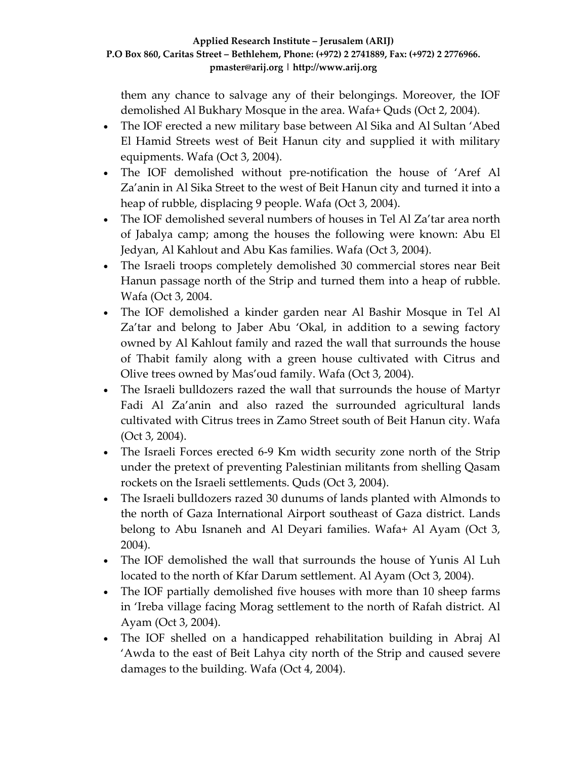them any chance to salvage any of their belongings. Moreover, the IOF demolished Al Bukhary Mosque in the area. Wafa+ Quds (Oct 2, 2004).

- The IOF erected a new military base between Al Sika and Al Sultan 'Abed El Hamid Streets west of Beit Hanun city and supplied it with military equipments. Wafa (Oct 3, 2004).
- The IOF demolished without pre-notification the house of 'Aref Al Za'anin in Al Sika Street to the west of Beit Hanun city and turned it into a heap of rubble, displacing 9 people. Wafa (Oct 3, 2004).
- The IOF demolished several numbers of houses in Tel Al Za'tar area north of Jabalya camp; among the houses the following were known: Abu El Jedyan, Al Kahlout and Abu Kas families. Wafa (Oct 3, 2004).
- The Israeli troops completely demolished 30 commercial stores near Beit Hanun passage north of the Strip and turned them into a heap of rubble. Wafa (Oct 3, 2004.
- The IOF demolished a kinder garden near Al Bashir Mosque in Tel Al Za'tar and belong to Jaber Abu 'Okal, in addition to a sewing factory owned by Al Kahlout family and razed the wall that surrounds the house of Thabit family along with a green house cultivated with Citrus and Olive trees owned by Mas'oud family. Wafa (Oct 3, 2004).
- The Israeli bulldozers razed the wall that surrounds the house of Martyr Fadi Al Za'anin and also razed the surrounded agricultural lands cultivated with Citrus trees in Zamo Street south of Beit Hanun city. Wafa (Oct 3, 2004).
- The Israeli Forces erected 6-9 Km width security zone north of the Strip under the pretext of preventing Palestinian militants from shelling Qasam rockets on the Israeli settlements. Quds (Oct 3, 2004).
- The Israeli bulldozers razed 30 dunums of lands planted with Almonds to the north of Gaza International Airport southeast of Gaza district. Lands belong to Abu Isnaneh and Al Deyari families. Wafa+ Al Ayam (Oct 3, 2004).
- The IOF demolished the wall that surrounds the house of Yunis Al Luh located to the north of Kfar Darum settlement. Al Ayam (Oct 3, 2004).
- The IOF partially demolished five houses with more than 10 sheep farms in 'Ireba village facing Morag settlement to the north of Rafah district. Al Ayam (Oct 3, 2004).
- The IOF shelled on a handicapped rehabilitation building in Abraj Al 'Awda to the east of Beit Lahya city north of the Strip and caused severe damages to the building. Wafa (Oct 4, 2004).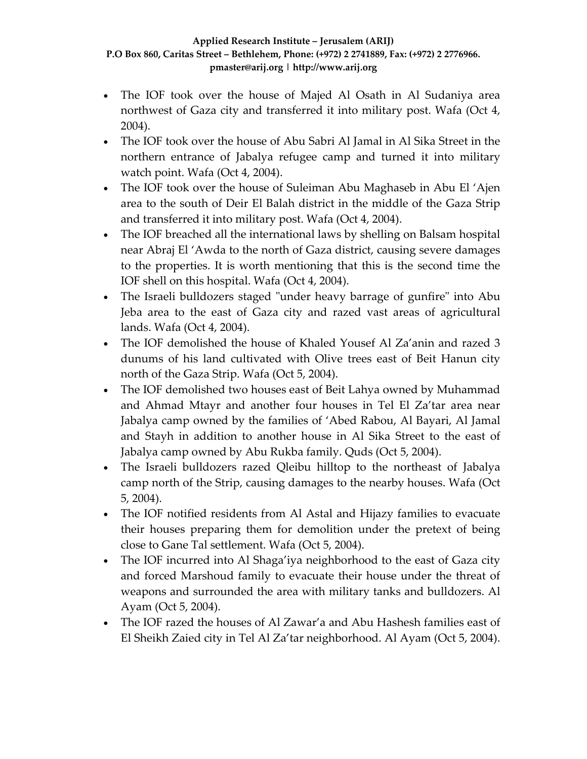- The IOF took over the house of Majed Al Osath in Al Sudaniya area northwest of Gaza city and transferred it into military post. Wafa (Oct 4, 2004).
- The IOF took over the house of Abu Sabri Al Jamal in Al Sika Street in the northern entrance of Jabalya refugee camp and turned it into military watch point. Wafa (Oct 4, 2004).
- The IOF took over the house of Suleiman Abu Maghaseb in Abu El 'Ajen area to the south of Deir El Balah district in the middle of the Gaza Strip and transferred it into military post. Wafa (Oct 4, 2004).
- The IOF breached all the international laws by shelling on Balsam hospital near Abraj El 'Awda to the north of Gaza district, causing severe damages to the properties. It is worth mentioning that this is the second time the IOF shell on this hospital. Wafa (Oct 4, 2004).
- The Israeli bulldozers staged "under heavy barrage of gunfire" into Abu Jeba area to the east of Gaza city and razed vast areas of agricultural lands. Wafa (Oct 4, 2004).
- The IOF demolished the house of Khaled Yousef Al Za'anin and razed 3 dunums of his land cultivated with Olive trees east of Beit Hanun city north of the Gaza Strip. Wafa (Oct 5, 2004).
- The IOF demolished two houses east of Beit Lahya owned by Muhammad and Ahmad Mtayr and another four houses in Tel El Za'tar area near Jabalya camp owned by the families of 'Abed Rabou, Al Bayari, Al Jamal and Stayh in addition to another house in Al Sika Street to the east of Jabalya camp owned by Abu Rukba family. Quds (Oct 5, 2004).
- The Israeli bulldozers razed Qleibu hilltop to the northeast of Jabalya camp north of the Strip, causing damages to the nearby houses. Wafa (Oct 5, 2004).
- The IOF notified residents from Al Astal and Hijazy families to evacuate their houses preparing them for demolition under the pretext of being close to Gane Tal settlement. Wafa (Oct 5, 2004).
- The IOF incurred into Al Shaga'iya neighborhood to the east of Gaza city and forced Marshoud family to evacuate their house under the threat of weapons and surrounded the area with military tanks and bulldozers. Al Ayam (Oct 5, 2004).
- The IOF razed the houses of Al Zawar'a and Abu Hashesh families east of El Sheikh Zaied city in Tel Al Za'tar neighborhood. Al Ayam (Oct 5, 2004).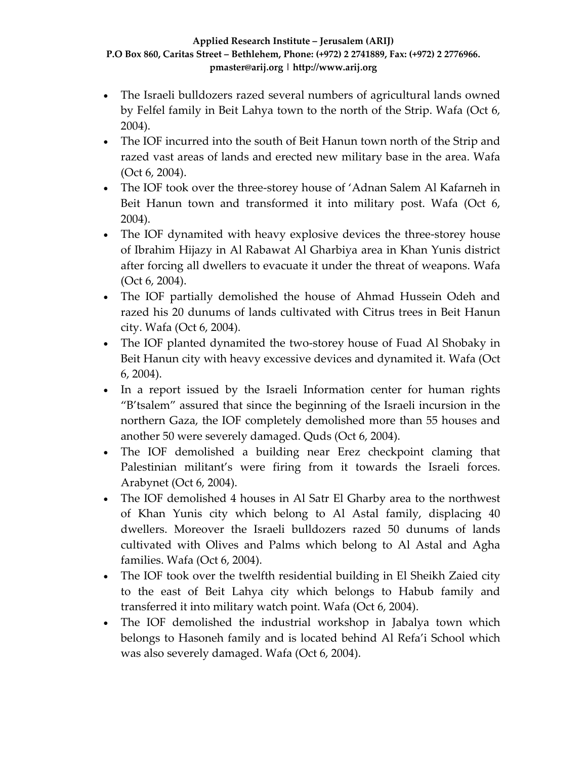- The Israeli bulldozers razed several numbers of agricultural lands owned by Felfel family in Beit Lahya town to the north of the Strip. Wafa (Oct 6, 2004).
- The IOF incurred into the south of Beit Hanun town north of the Strip and razed vast areas of lands and erected new military base in the area. Wafa (Oct 6, 2004).
- The IOF took over the three-storey house of 'Adnan Salem Al Kafarneh in Beit Hanun town and transformed it into military post. Wafa (Oct 6, 2004).
- The IOF dynamited with heavy explosive devices the three-storey house of Ibrahim Hijazy in Al Rabawat Al Gharbiya area in Khan Yunis district after forcing all dwellers to evacuate it under the threat of weapons. Wafa (Oct 6, 2004).
- The IOF partially demolished the house of Ahmad Hussein Odeh and razed his 20 dunums of lands cultivated with Citrus trees in Beit Hanun city. Wafa (Oct 6, 2004).
- The IOF planted dynamited the two-storey house of Fuad Al Shobaky in Beit Hanun city with heavy excessive devices and dynamited it. Wafa (Oct 6, 2004).
- In a report issued by the Israeli Information center for human rights "B'tsalem" assured that since the beginning of the Israeli incursion in the northern Gaza, the IOF completely demolished more than 55 houses and another 50 were severely damaged. Quds (Oct 6, 2004).
- The IOF demolished a building near Erez checkpoint claming that Palestinian militant's were firing from it towards the Israeli forces. Arabynet (Oct 6, 2004).
- The IOF demolished 4 houses in Al Satr El Gharby area to the northwest of Khan Yunis city which belong to Al Astal family, displacing 40 dwellers. Moreover the Israeli bulldozers razed 50 dunums of lands cultivated with Olives and Palms which belong to Al Astal and Agha families. Wafa (Oct 6, 2004).
- The IOF took over the twelfth residential building in El Sheikh Zaied city to the east of Beit Lahya city which belongs to Habub family and transferred it into military watch point. Wafa (Oct 6, 2004).
- The IOF demolished the industrial workshop in Jabalya town which belongs to Hasoneh family and is located behind Al Refa'i School which was also severely damaged. Wafa (Oct 6, 2004).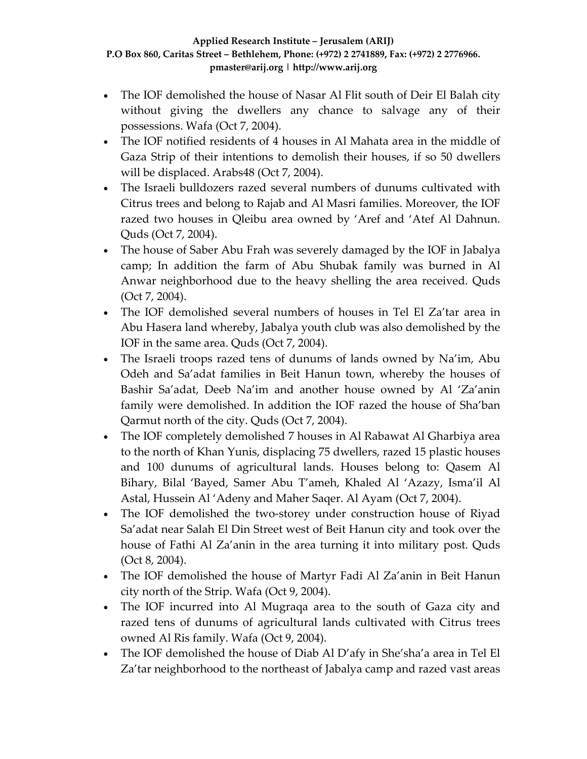- The IOF demolished the house of Nasar Al Flit south of Deir El Balah city without giving the dwellers any chance to salvage any of their possessions. Wafa (Oct 7, 2004).
- The IOF notified residents of 4 houses in Al Mahata area in the middle of Gaza Strip of their intentions to demolish their houses, if so 50 dwellers will be displaced. Arabs48 (Oct 7, 2004).
- The Israeli bulldozers razed several numbers of dunums cultivated with Citrus trees and belong to Rajab and Al Masri families. Moreover, the IOF razed two houses in Qleibu area owned by 'Aref and 'Atef Al Dahnun. Quds (Oct 7, 2004).
- The house of Saber Abu Frah was severely damaged by the IOF in Jabalya camp; In addition the farm of Abu Shubak family was burned in Al Anwar neighborhood due to the heavy shelling the area received. Quds (Oct 7, 2004).
- The IOF demolished several numbers of houses in Tel El Za'tar area in Abu Hasera land whereby, Jabalya youth club was also demolished by the IOF in the same area. Quds (Oct 7, 2004).
- The Israeli troops razed tens of dunums of lands owned by Na'im, Abu Odeh and Sa'adat families in Beit Hanun town, whereby the houses of Bashir Sa'adat, Deeb Na'im and another house owned by Al 'Za'anin family were demolished. In addition the IOF razed the house of Sha'ban Qarmut north of the city. Quds (Oct 7, 2004).
- The IOF completely demolished 7 houses in Al Rabawat Al Gharbiya area to the north of Khan Yunis, displacing 75 dwellers, razed 15 plastic houses and 100 dunums of agricultural lands. Houses belong to: Qasem Al Bihary, Bilal 'Bayed, Samer Abu T'ameh, Khaled Al 'Azazy, Isma'il Al Astal, Hussein Al 'Adeny and Maher Saqer. Al Ayam (Oct 7, 2004).
- The IOF demolished the two-storey under construction house of Riyad Sa'adat near Salah El Din Street west of Beit Hanun city and took over the house of Fathi Al Za'anin in the area turning it into military post. Quds (Oct 8, 2004).
- The IOF demolished the house of Martyr Fadi Al Za'anin in Beit Hanun city north of the Strip. Wafa (Oct 9, 2004).
- The IOF incurred into Al Mugraqa area to the south of Gaza city and razed tens of dunums of agricultural lands cultivated with Citrus trees owned Al Ris family. Wafa (Oct 9, 2004).
- The IOF demolished the house of Diab Al D'afy in She'sha'a area in Tel El Za'tar neighborhood to the northeast of Jabalya camp and razed vast areas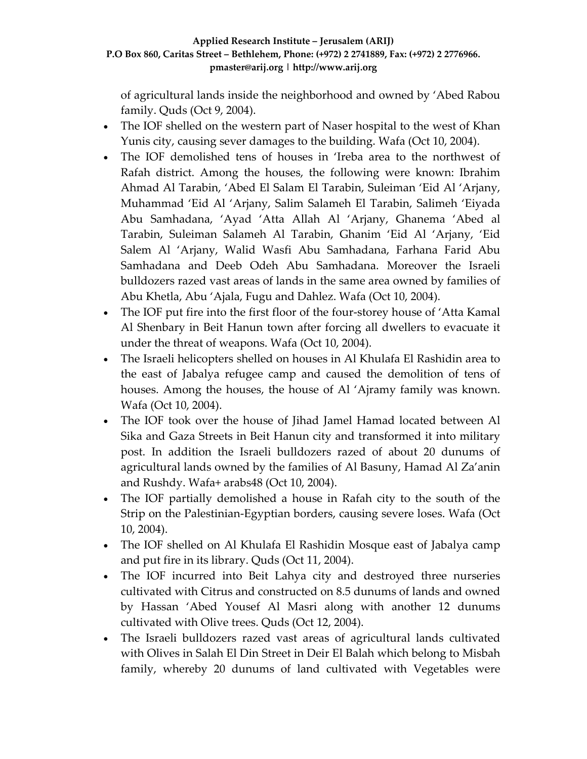of agricultural lands inside the neighborhood and owned by 'Abed Rabou family. Quds (Oct 9, 2004).

- The IOF shelled on the western part of Naser hospital to the west of Khan Yunis city, causing sever damages to the building. Wafa (Oct 10, 2004).
- The IOF demolished tens of houses in 'Ireba area to the northwest of Rafah district. Among the houses, the following were known: Ibrahim Ahmad Al Tarabin, 'Abed El Salam El Tarabin, Suleiman 'Eid Al 'Arjany, Muhammad 'Eid Al 'Arjany, Salim Salameh El Tarabin, Salimeh 'Eiyada Abu Samhadana, 'Ayad 'Atta Allah Al 'Arjany, Ghanema 'Abed al Tarabin, Suleiman Salameh Al Tarabin, Ghanim 'Eid Al 'Arjany, 'Eid Salem Al 'Arjany, Walid Wasfi Abu Samhadana, Farhana Farid Abu Samhadana and Deeb Odeh Abu Samhadana. Moreover the Israeli bulldozers razed vast areas of lands in the same area owned by families of Abu Khetla, Abu 'Ajala, Fugu and Dahlez. Wafa (Oct 10, 2004).
- The IOF put fire into the first floor of the four-storey house of 'Atta Kamal Al Shenbary in Beit Hanun town after forcing all dwellers to evacuate it under the threat of weapons. Wafa (Oct 10, 2004).
- The Israeli helicopters shelled on houses in Al Khulafa El Rashidin area to the east of Jabalya refugee camp and caused the demolition of tens of houses. Among the houses, the house of Al 'Ajramy family was known. Wafa (Oct 10, 2004).
- The IOF took over the house of Jihad Jamel Hamad located between Al Sika and Gaza Streets in Beit Hanun city and transformed it into military post. In addition the Israeli bulldozers razed of about 20 dunums of agricultural lands owned by the families of Al Basuny, Hamad Al Za'anin and Rushdy. Wafa+ arabs48 (Oct 10, 2004).
- The IOF partially demolished a house in Rafah city to the south of the Strip on the Palestinian‐Egyptian borders, causing severe loses. Wafa (Oct 10, 2004).
- The IOF shelled on Al Khulafa El Rashidin Mosque east of Jabalya camp and put fire in its library. Quds (Oct 11, 2004).
- The IOF incurred into Beit Lahya city and destroyed three nurseries cultivated with Citrus and constructed on 8.5 dunums of lands and owned by Hassan 'Abed Yousef Al Masri along with another 12 dunums cultivated with Olive trees. Quds (Oct 12, 2004).
- The Israeli bulldozers razed vast areas of agricultural lands cultivated with Olives in Salah El Din Street in Deir El Balah which belong to Misbah family, whereby 20 dunums of land cultivated with Vegetables were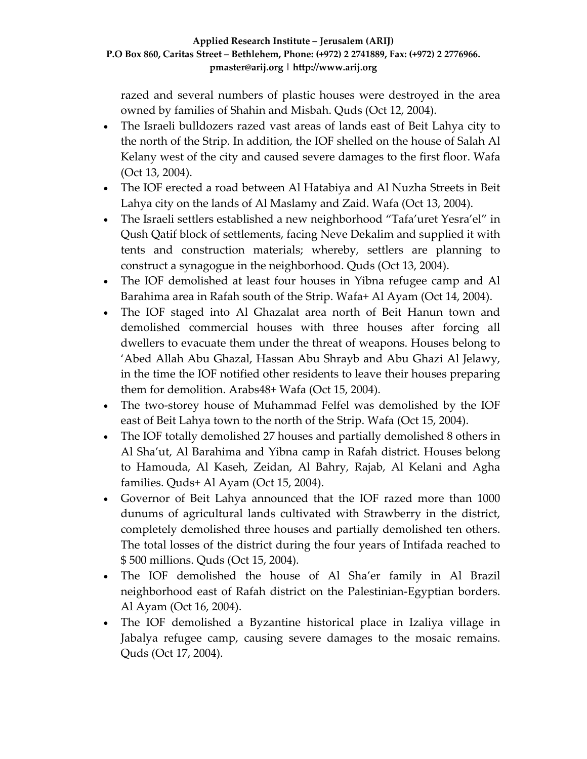razed and several numbers of plastic houses were destroyed in the area owned by families of Shahin and Misbah. Quds (Oct 12, 2004).

- The Israeli bulldozers razed vast areas of lands east of Beit Lahya city to the north of the Strip. In addition, the IOF shelled on the house of Salah Al Kelany west of the city and caused severe damages to the first floor. Wafa (Oct 13, 2004).
- The IOF erected a road between Al Hatabiya and Al Nuzha Streets in Beit Lahya city on the lands of Al Maslamy and Zaid. Wafa (Oct 13, 2004).
- The Israeli settlers established a new neighborhood "Tafa'uret Yesra'el" in Qush Qatif block of settlements, facing Neve Dekalim and supplied it with tents and construction materials; whereby, settlers are planning to construct a synagogue in the neighborhood. Quds (Oct 13, 2004).
- The IOF demolished at least four houses in Yibna refugee camp and Al Barahima area in Rafah south of the Strip. Wafa+ Al Ayam (Oct 14, 2004).
- The IOF staged into Al Ghazalat area north of Beit Hanun town and demolished commercial houses with three houses after forcing all dwellers to evacuate them under the threat of weapons. Houses belong to 'Abed Allah Abu Ghazal, Hassan Abu Shrayb and Abu Ghazi Al Jelawy, in the time the IOF notified other residents to leave their houses preparing them for demolition. Arabs48+ Wafa (Oct 15, 2004).
- The two-storey house of Muhammad Felfel was demolished by the IOF east of Beit Lahya town to the north of the Strip. Wafa (Oct 15, 2004).
- The IOF totally demolished 27 houses and partially demolished 8 others in Al Sha'ut, Al Barahima and Yibna camp in Rafah district. Houses belong to Hamouda, Al Kaseh, Zeidan, Al Bahry, Rajab, Al Kelani and Agha families. Quds+ Al Ayam (Oct 15, 2004).
- Governor of Beit Lahya announced that the IOF razed more than 1000 dunums of agricultural lands cultivated with Strawberry in the district, completely demolished three houses and partially demolished ten others. The total losses of the district during the four years of Intifada reached to \$ 500 millions. Quds (Oct 15, 2004).
- The IOF demolished the house of Al Sha'er family in Al Brazil neighborhood east of Rafah district on the Palestinian‐Egyptian borders. Al Ayam (Oct 16, 2004).
- The IOF demolished a Byzantine historical place in Izaliya village in Jabalya refugee camp, causing severe damages to the mosaic remains. Quds (Oct 17, 2004).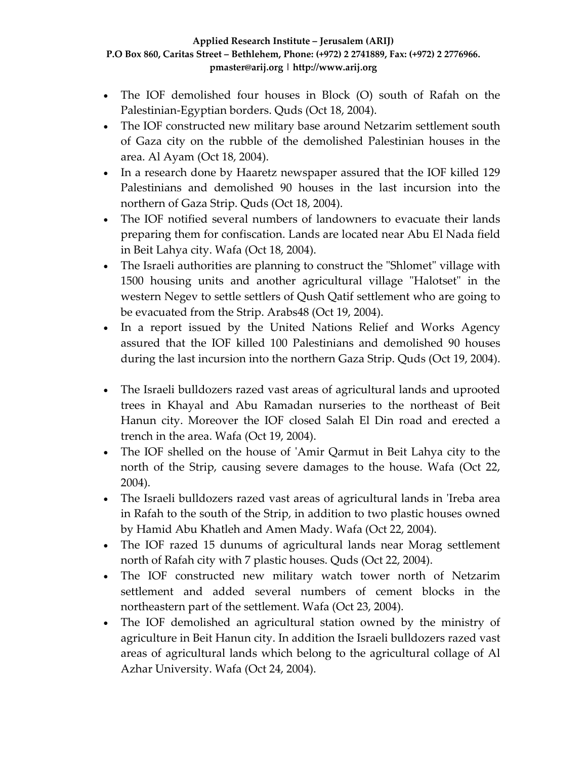- The IOF demolished four houses in Block (O) south of Rafah on the Palestinian‐Egyptian borders. Quds (Oct 18, 2004).
- The IOF constructed new military base around Netzarim settlement south of Gaza city on the rubble of the demolished Palestinian houses in the area. Al Ayam (Oct 18, 2004).
- In a research done by Haaretz newspaper assured that the IOF killed 129 Palestinians and demolished 90 houses in the last incursion into the northern of Gaza Strip. Quds (Oct 18, 2004).
- The IOF notified several numbers of landowners to evacuate their lands preparing them for confiscation. Lands are located near Abu El Nada field in Beit Lahya city. Wafa (Oct 18, 2004).
- The Israeli authorities are planning to construct the "Shlomet" village with 1500 housing units and another agricultural village "Halotset" in the western Negev to settle settlers of Qush Qatif settlement who are going to be evacuated from the Strip. Arabs48 (Oct 19, 2004).
- In a report issued by the United Nations Relief and Works Agency assured that the IOF killed 100 Palestinians and demolished 90 houses during the last incursion into the northern Gaza Strip. Quds (Oct 19, 2004).
- The Israeli bulldozers razed vast areas of agricultural lands and uprooted trees in Khayal and Abu Ramadan nurseries to the northeast of Beit Hanun city. Moreover the IOF closed Salah El Din road and erected a trench in the area. Wafa (Oct 19, 2004).
- The IOF shelled on the house of 'Amir Qarmut in Beit Lahya city to the north of the Strip, causing severe damages to the house. Wafa (Oct 22, 2004).
- The Israeli bulldozers razed vast areas of agricultural lands in 'Ireba area in Rafah to the south of the Strip, in addition to two plastic houses owned by Hamid Abu Khatleh and Amen Mady. Wafa (Oct 22, 2004).
- The IOF razed 15 dunums of agricultural lands near Morag settlement north of Rafah city with 7 plastic houses. Quds (Oct 22, 2004).
- The IOF constructed new military watch tower north of Netzarim settlement and added several numbers of cement blocks in the northeastern part of the settlement. Wafa (Oct 23, 2004).
- The IOF demolished an agricultural station owned by the ministry of agriculture in Beit Hanun city. In addition the Israeli bulldozers razed vast areas of agricultural lands which belong to the agricultural collage of Al Azhar University. Wafa (Oct 24, 2004).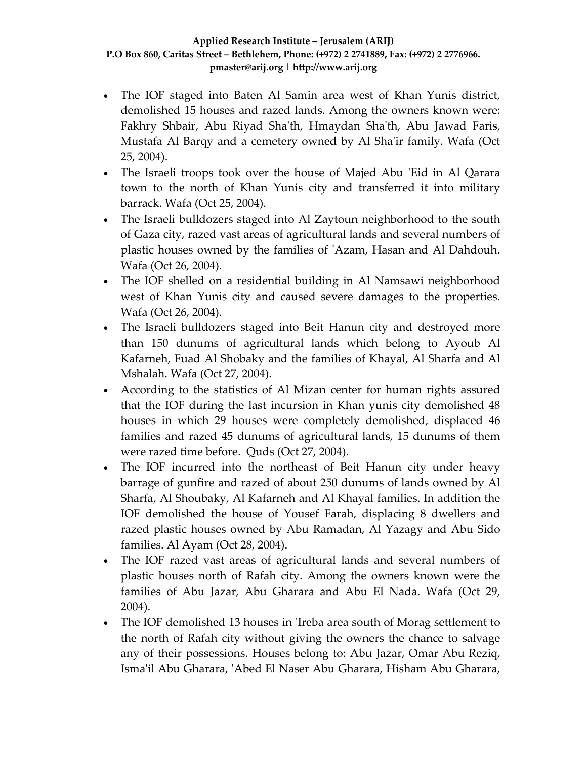- The IOF staged into Baten Al Samin area west of Khan Yunis district, demolished 15 houses and razed lands. Among the owners known were: Fakhry Shbair, Abu Riyad Sha'th, Hmaydan Sha'th, Abu Jawad Faris, Mustafa Al Barqy and a cemetery owned by Al Shaʹir family. Wafa (Oct 25, 2004).
- The Israeli troops took over the house of Majed Abu 'Eid in Al Qarara town to the north of Khan Yunis city and transferred it into military barrack. Wafa (Oct 25, 2004).
- The Israeli bulldozers staged into Al Zaytoun neighborhood to the south of Gaza city, razed vast areas of agricultural lands and several numbers of plastic houses owned by the families of ʹAzam, Hasan and Al Dahdouh. Wafa (Oct 26, 2004).
- The IOF shelled on a residential building in Al Namsawi neighborhood west of Khan Yunis city and caused severe damages to the properties. Wafa (Oct 26, 2004).
- The Israeli bulldozers staged into Beit Hanun city and destroyed more than 150 dunums of agricultural lands which belong to Ayoub Al Kafarneh, Fuad Al Shobaky and the families of Khayal, Al Sharfa and Al Mshalah. Wafa (Oct 27, 2004).
- According to the statistics of Al Mizan center for human rights assured that the IOF during the last incursion in Khan yunis city demolished 48 houses in which 29 houses were completely demolished, displaced 46 families and razed 45 dunums of agricultural lands, 15 dunums of them were razed time before. Quds (Oct 27, 2004).
- The IOF incurred into the northeast of Beit Hanun city under heavy barrage of gunfire and razed of about 250 dunums of lands owned by Al Sharfa, Al Shoubaky, Al Kafarneh and Al Khayal families. In addition the IOF demolished the house of Yousef Farah, displacing 8 dwellers and razed plastic houses owned by Abu Ramadan, Al Yazagy and Abu Sido families. Al Ayam (Oct 28, 2004).
- The IOF razed vast areas of agricultural lands and several numbers of plastic houses north of Rafah city. Among the owners known were the families of Abu Jazar, Abu Gharara and Abu El Nada. Wafa (Oct 29, 2004).
- The IOF demolished 13 houses in 'Ireba area south of Morag settlement to the north of Rafah city without giving the owners the chance to salvage any of their possessions. Houses belong to: Abu Jazar, Omar Abu Reziq, Ismaʹil Abu Gharara, ʹAbed El Naser Abu Gharara, Hisham Abu Gharara,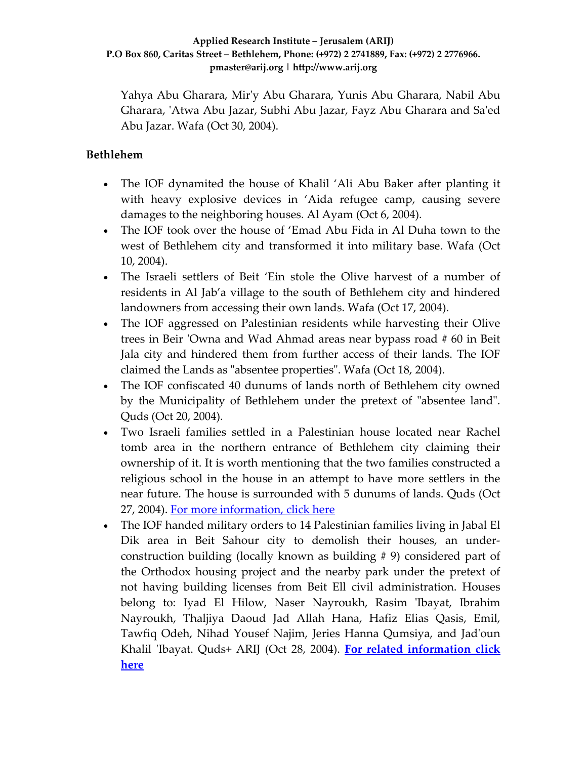Yahya Abu Gharara, Mirʹy Abu Gharara, Yunis Abu Gharara, Nabil Abu Gharara, ʹAtwa Abu Jazar, Subhi Abu Jazar, Fayz Abu Gharara and Saʹed Abu Jazar. Wafa (Oct 30, 2004).

### **Bethlehem**

- The IOF dynamited the house of Khalil 'Ali Abu Baker after planting it with heavy explosive devices in 'Aida refugee camp, causing severe damages to the neighboring houses. Al Ayam (Oct 6, 2004).
- The IOF took over the house of 'Emad Abu Fida in Al Duha town to the west of Bethlehem city and transformed it into military base. Wafa (Oct 10, 2004).
- The Israeli settlers of Beit 'Ein stole the Olive harvest of a number of residents in Al Jab'a village to the south of Bethlehem city and hindered landowners from accessing their own lands. Wafa (Oct 17, 2004).
- The IOF aggressed on Palestinian residents while harvesting their Olive trees in Beir ʹOwna and Wad Ahmad areas near bypass road # 60 in Beit Jala city and hindered them from further access of their lands. The IOF claimed the Lands as "absentee properties". Wafa (Oct 18, 2004).
- The IOF confiscated 40 dunums of lands north of Bethlehem city owned by the Municipality of Bethlehem under the pretext of "absentee land". Quds (Oct 20, 2004).
- Two Israeli families settled in a Palestinian house located near Rachel tomb area in the northern entrance of Bethlehem city claiming their ownership of it. It is worth mentioning that the two families constructed a religious school in the house in an attempt to have more settlers in the near future. The house is surrounded with 5 dunums of lands. Quds (Oct 27, 2004). For more [information,](http://www.poica.org/editor/case_studies/view.php?recordID=413) click here
- The IOF handed military orders to 14 Palestinian families living in Jabal El Dik area in Beit Sahour city to demolish their houses, an under‐ construction building (locally known as building # 9) considered part of the Orthodox housing project and the nearby park under the pretext of not having building licenses from Beit Ell civil administration. Houses belong to: Iyad El Hilow, Naser Nayroukh, Rasim 'Ibayat, Ibrahim Nayroukh, Thaljiya Daoud Jad Allah Hana, Hafiz Elias Qasis, Emil, Tawfiq Odeh, Nihad Yousef Najim, Jeries Hanna Qumsiya, and Jadʹoun Khalil ʹIbayat. Quds+ ARIJ (Oct 28, 2004). **For related [information](http://www.poica.org/editor/case_studies/view.php?recordID=452) click [here](http://www.poica.org/editor/case_studies/view.php?recordID=452)**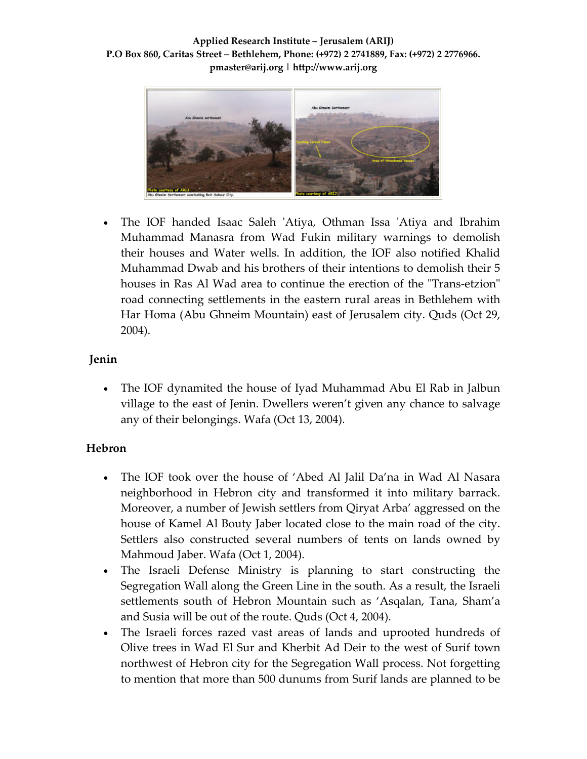

• The IOF handed Isaac Saleh 'Atiya, Othman Issa 'Atiya and Ibrahim Muhammad Manasra from Wad Fukin military warnings to demolish their houses and Water wells. In addition, the IOF also notified Khalid Muhammad Dwab and his brothers of their intentions to demolish their 5 houses in Ras Al Wad area to continue the erection of the "Trans-etzion" road connecting settlements in the eastern rural areas in Bethlehem with Har Homa (Abu Ghneim Mountain) east of Jerusalem city. Quds (Oct 29, 2004).

### **Jenin**

• The IOF dynamited the house of Iyad Muhammad Abu El Rab in Jalbun village to the east of Jenin. Dwellers weren't given any chance to salvage any of their belongings. Wafa (Oct 13, 2004).

### **Hebron**

- The IOF took over the house of 'Abed Al Jalil Da'na in Wad Al Nasara neighborhood in Hebron city and transformed it into military barrack. Moreover, a number of Jewish settlers from Qiryat Arba' aggressed on the house of Kamel Al Bouty Jaber located close to the main road of the city. Settlers also constructed several numbers of tents on lands owned by Mahmoud Jaber. Wafa (Oct 1, 2004).
- The Israeli Defense Ministry is planning to start constructing the Segregation Wall along the Green Line in the south. As a result, the Israeli settlements south of Hebron Mountain such as 'Asqalan, Tana, Sham'a and Susia will be out of the route. Quds (Oct 4, 2004).
- The Israeli forces razed vast areas of lands and uprooted hundreds of Olive trees in Wad El Sur and Kherbit Ad Deir to the west of Surif town northwest of Hebron city for the Segregation Wall process. Not forgetting to mention that more than 500 dunums from Surif lands are planned to be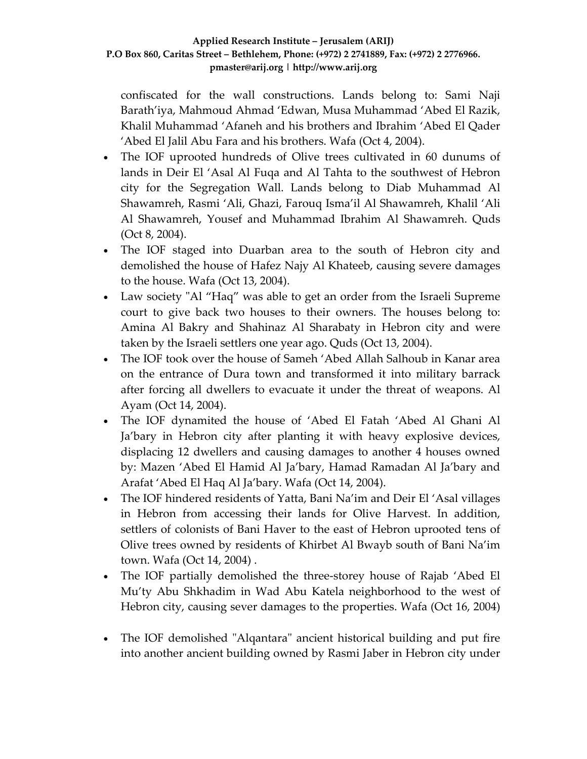confiscated for the wall constructions. Lands belong to: Sami Naji Barath'iya, Mahmoud Ahmad 'Edwan, Musa Muhammad 'Abed El Razik, Khalil Muhammad 'Afaneh and his brothers and Ibrahim 'Abed El Qader 'Abed El Jalil Abu Fara and his brothers. Wafa (Oct 4, 2004).

- The IOF uprooted hundreds of Olive trees cultivated in 60 dunums of lands in Deir El 'Asal Al Fuqa and Al Tahta to the southwest of Hebron city for the Segregation Wall. Lands belong to Diab Muhammad Al Shawamreh, Rasmi 'Ali, Ghazi, Farouq Isma'il Al Shawamreh, Khalil 'Ali Al Shawamreh, Yousef and Muhammad Ibrahim Al Shawamreh. Quds (Oct 8, 2004).
- The IOF staged into Duarban area to the south of Hebron city and demolished the house of Hafez Najy Al Khateeb, causing severe damages to the house. Wafa (Oct 13, 2004).
- Law society "Al "Haq" was able to get an order from the Israeli Supreme court to give back two houses to their owners. The houses belong to: Amina Al Bakry and Shahinaz Al Sharabaty in Hebron city and were taken by the Israeli settlers one year ago. Quds (Oct 13, 2004).
- The IOF took over the house of Sameh 'Abed Allah Salhoub in Kanar area on the entrance of Dura town and transformed it into military barrack after forcing all dwellers to evacuate it under the threat of weapons. Al Ayam (Oct 14, 2004).
- The IOF dynamited the house of 'Abed El Fatah 'Abed Al Ghani Al Ja'bary in Hebron city after planting it with heavy explosive devices, displacing 12 dwellers and causing damages to another 4 houses owned by: Mazen 'Abed El Hamid Al Ja'bary, Hamad Ramadan Al Ja'bary and Arafat 'Abed El Haq Al Ja'bary. Wafa (Oct 14, 2004).
- The IOF hindered residents of Yatta, Bani Na'im and Deir El 'Asal villages in Hebron from accessing their lands for Olive Harvest. In addition, settlers of colonists of Bani Haver to the east of Hebron uprooted tens of Olive trees owned by residents of Khirbet Al Bwayb south of Bani Na'im town. Wafa (Oct 14, 2004) .
- The IOF partially demolished the three-storey house of Rajab 'Abed El Mu'ty Abu Shkhadim in Wad Abu Katela neighborhood to the west of Hebron city, causing sever damages to the properties. Wafa (Oct 16, 2004)
- The IOF demolished "Alqantara" ancient historical building and put fire into another ancient building owned by Rasmi Jaber in Hebron city under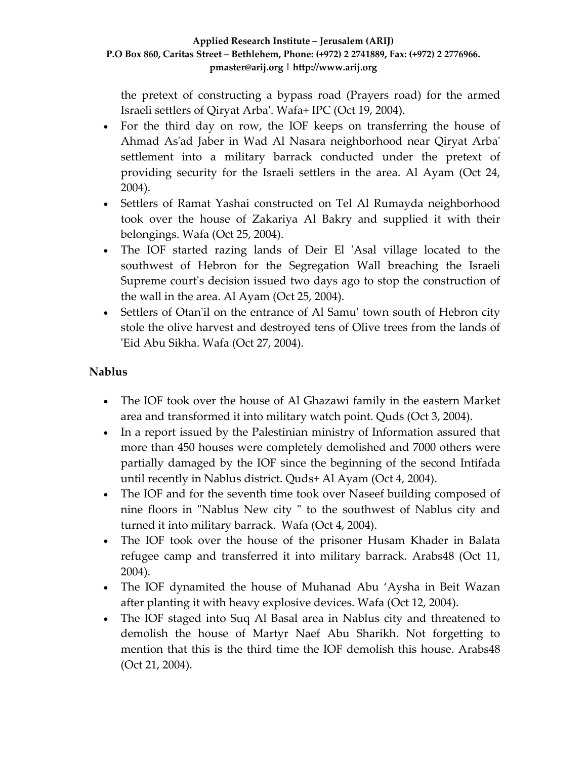the pretext of constructing a bypass road (Prayers road) for the armed Israeli settlers of Qiryat Arbaʹ. Wafa+ IPC (Oct 19, 2004).

- For the third day on row, the IOF keeps on transferring the house of Ahmad Asʹad Jaber in Wad Al Nasara neighborhood near Qiryat Arbaʹ settlement into a military barrack conducted under the pretext of providing security for the Israeli settlers in the area. Al Ayam (Oct 24, 2004).
- Settlers of Ramat Yashai constructed on Tel Al Rumayda neighborhood took over the house of Zakariya Al Bakry and supplied it with their belongings. Wafa (Oct 25, 2004).
- The IOF started razing lands of Deir El 'Asal village located to the southwest of Hebron for the Segregation Wall breaching the Israeli Supreme court's decision issued two days ago to stop the construction of the wall in the area. Al Ayam (Oct 25, 2004).
- Settlers of Otan'il on the entrance of Al Samu' town south of Hebron city stole the olive harvest and destroyed tens of Olive trees from the lands of ʹEid Abu Sikha. Wafa (Oct 27, 2004).

### **Nablus**

- The IOF took over the house of Al Ghazawi family in the eastern Market area and transformed it into military watch point. Quds (Oct 3, 2004).
- In a report issued by the Palestinian ministry of Information assured that more than 450 houses were completely demolished and 7000 others were partially damaged by the IOF since the beginning of the second Intifada until recently in Nablus district. Quds+ Al Ayam (Oct 4, 2004).
- The IOF and for the seventh time took over Naseef building composed of nine floors in "Nablus New city" to the southwest of Nablus city and turned it into military barrack. Wafa (Oct 4, 2004).
- The IOF took over the house of the prisoner Husam Khader in Balata refugee camp and transferred it into military barrack. Arabs48 (Oct 11, 2004).
- The IOF dynamited the house of Muhanad Abu 'Aysha in Beit Wazan after planting it with heavy explosive devices. Wafa (Oct 12, 2004).
- The IOF staged into Suq Al Basal area in Nablus city and threatened to demolish the house of Martyr Naef Abu Sharikh. Not forgetting to mention that this is the third time the IOF demolish this house. Arabs48 (Oct 21, 2004).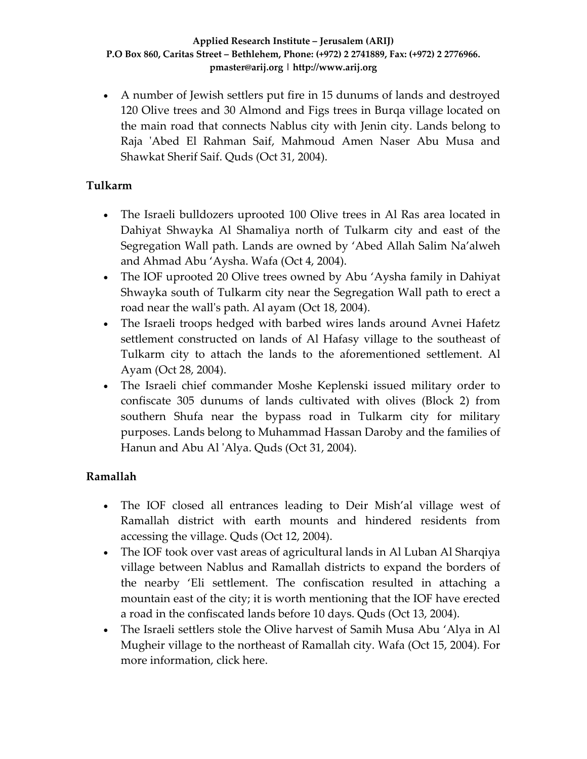• A number of Jewish settlers put fire in 15 dunums of lands and destroyed 120 Olive trees and 30 Almond and Figs trees in Burqa village located on the main road that connects Nablus city with Jenin city. Lands belong to Raja 'Abed El Rahman Saif, Mahmoud Amen Naser Abu Musa and Shawkat Sherif Saif. Quds (Oct 31, 2004).

### **Tulkarm**

- The Israeli bulldozers uprooted 100 Olive trees in Al Ras area located in Dahiyat Shwayka Al Shamaliya north of Tulkarm city and east of the Segregation Wall path. Lands are owned by 'Abed Allah Salim Na'alweh and Ahmad Abu 'Aysha. Wafa (Oct 4, 2004).
- The IOF uprooted 20 Olive trees owned by Abu 'Aysha family in Dahiyat Shwayka south of Tulkarm city near the Segregation Wall path to erect a road near the wall's path. Al ayam (Oct 18, 2004).
- The Israeli troops hedged with barbed wires lands around Avnei Hafetz settlement constructed on lands of Al Hafasy village to the southeast of Tulkarm city to attach the lands to the aforementioned settlement. Al Ayam (Oct 28, 2004).
- The Israeli chief commander Moshe Keplenski issued military order to confiscate 305 dunums of lands cultivated with olives (Block 2) from southern Shufa near the bypass road in Tulkarm city for military purposes. Lands belong to Muhammad Hassan Daroby and the families of Hanun and Abu Al 'Alya. Quds (Oct 31, 2004).

## **Ramallah**

- The IOF closed all entrances leading to Deir Mish'al village west of Ramallah district with earth mounts and hindered residents from accessing the village. Quds (Oct 12, 2004).
- The IOF took over vast areas of agricultural lands in Al Luban Al Sharqiya village between Nablus and Ramallah districts to expand the borders of the nearby 'Eli settlement. The confiscation resulted in attaching a mountain east of the city; it is worth mentioning that the IOF have erected a road in the confiscated lands before 10 days. Quds (Oct 13, 2004).
- The Israeli settlers stole the Olive harvest of Samih Musa Abu 'Alya in Al Mugheir village to the northeast of Ramallah city. Wafa (Oct 15, 2004). For more information, click here.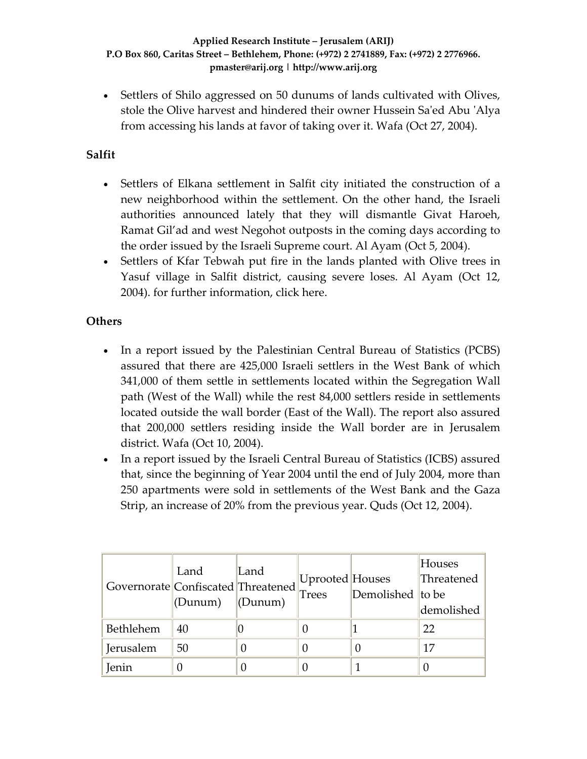• Settlers of Shilo aggressed on 50 dunums of lands cultivated with Olives, stole the Olive harvest and hindered their owner Hussein Saʹed Abu ʹAlya from accessing his lands at favor of taking over it. Wafa (Oct 27, 2004).

### **Salfit**

- Settlers of Elkana settlement in Salfit city initiated the construction of a new neighborhood within the settlement. On the other hand, the Israeli authorities announced lately that they will dismantle Givat Haroeh, Ramat Gil'ad and west Negohot outposts in the coming days according to the order issued by the Israeli Supreme court. Al Ayam (Oct 5, 2004).
- Settlers of Kfar Tebwah put fire in the lands planted with Olive trees in Yasuf village in Salfit district, causing severe loses. Al Ayam (Oct 12, 2004). for further information, click here.

### **Others**

- In a report issued by the Palestinian Central Bureau of Statistics (PCBS) assured that there are 425,000 Israeli settlers in the West Bank of which 341,000 of them settle in settlements located within the Segregation Wall path (West of the Wall) while the rest 84,000 settlers reside in settlements located outside the wall border (East of the Wall). The report also assured that 200,000 settlers residing inside the Wall border are in Jerusalem district. Wafa (Oct 10, 2004).
- In a report issued by the Israeli Central Bureau of Statistics (ICBS) assured that, since the beginning of Year 2004 until the end of July 2004, more than 250 apartments were sold in settlements of the West Bank and the Gaza Strip, an increase of 20% from the previous year. Quds (Oct 12, 2004).

| Governorate Confiscated Threatened | Land<br>(Dunum) | Land<br>(Dunum) | Uprooted Houses<br>Trees | Demolished to be | Houses<br>Threatened<br>demolished |
|------------------------------------|-----------------|-----------------|--------------------------|------------------|------------------------------------|
| Bethlehem                          | 40              |                 |                          |                  | 22                                 |
| Jerusalem                          | 50              |                 |                          |                  |                                    |
| Jenin                              |                 |                 |                          |                  |                                    |